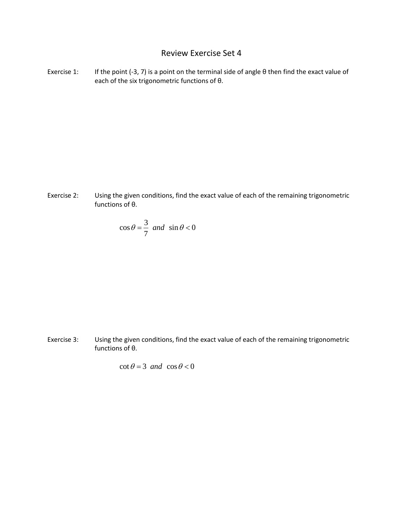## Review Exercise Set 4

Exercise 1: If the point (-3, 7) is a point on the terminal side of angle θ then find the exact value of each of the six trigonometric functions of θ.

Exercise 2: Using the given conditions, find the exact value of each of the remaining trigonometric functions of θ.

$$
\cos \theta = \frac{3}{7} \text{ and } \sin \theta < 0
$$

Exercise 3: Using the given conditions, find the exact value of each of the remaining trigonometric functions of θ.

$$
\cot \theta = 3 \text{ and } \cos \theta < 0
$$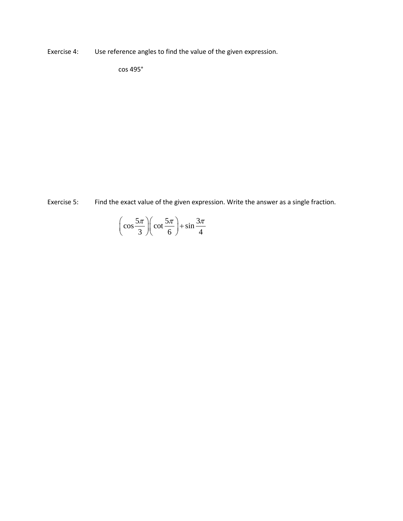Exercise 4: Use reference angles to find the value of the given expression.

cos 495°

Exercise 5: Find the exact value of the given expression. Write the answer as a single fraction.

$$
\left(\cos\frac{5\pi}{3}\right)\left(\cot\frac{5\pi}{6}\right) + \sin\frac{3\pi}{4}
$$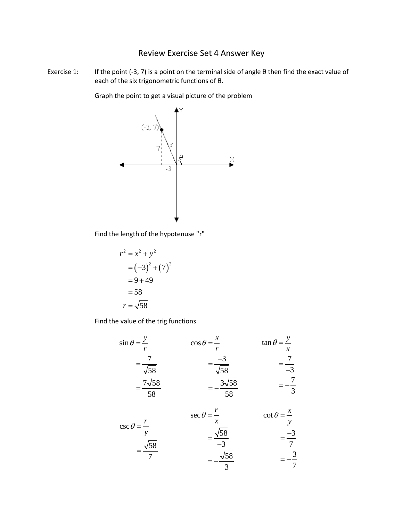## Review Exercise Set 4 Answer Key

Exercise 1: If the point (-3, 7) is a point on the terminal side of angle θ then find the exact value of each of the six trigonometric functions of θ.

Graph the point to get a visual picture of the problem



Find the length of the hypotenuse "r"

$$
r2 = x2 + y2
$$
  
= (-3)<sup>2</sup> + (7)<sup>2</sup>  
= 9 + 49  
= 58  

$$
r = \sqrt{58}
$$

Find the value of the trig functions

$$
\sin \theta = \frac{y}{r}
$$
\n
$$
\cos \theta = \frac{x}{r}
$$
\n
$$
\tan \theta = \frac{y}{x}
$$
\n
$$
= \frac{7}{\sqrt{58}}
$$
\n
$$
= \frac{7\sqrt{58}}{58}
$$
\n
$$
= -\frac{3\sqrt{58}}{58}
$$
\n
$$
= -\frac{7}{58}
$$
\n
$$
= -\frac{7}{58}
$$

$$
\csc \theta = \frac{r}{y}
$$
\n
$$
\sec \theta = \frac{r}{x}
$$
\n
$$
\csc \theta = \frac{r}{y}
$$
\n
$$
\csc \theta = \frac{r}{x}
$$
\n
$$
\csc \theta = \frac{x}{y}
$$
\n
$$
\csc \theta = \frac{x}{y}
$$
\n
$$
\csc \theta = \frac{x}{y}
$$
\n
$$
\csc \theta = \frac{x}{y}
$$
\n
$$
\sin \theta = \frac{-3}{7}
$$
\n
$$
= -\frac{\sqrt{58}}{3}
$$
\n
$$
= -\frac{3}{7}
$$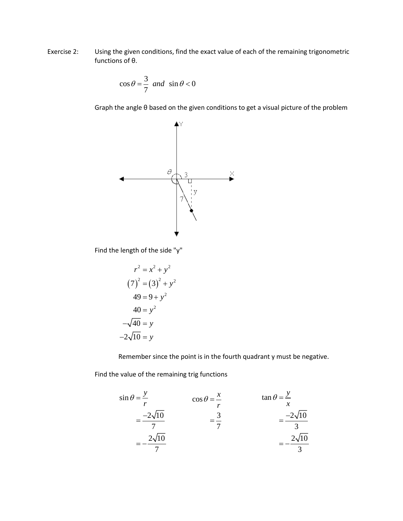Exercise 2: Using the given conditions, find the exact value of each of the remaining trigonometric functions of θ.

$$
\cos \theta = \frac{3}{7} \text{ and } \sin \theta < 0
$$

Graph the angle θ based on the given conditions to get a visual picture of the problem



Find the length of the side "y"

$$
r2 = x2 + y2
$$
  
\n
$$
(7)2 = (3)2 + y2
$$
  
\n
$$
49 = 9 + y2
$$
  
\n
$$
40 = y2
$$
  
\n
$$
-\sqrt{40} = y
$$
  
\n
$$
-2\sqrt{10} = y
$$

Remember since the point is in the fourth quadrant y must be negative.

Find the value of the remaining trig functions

$$
\sin \theta = \frac{y}{r}
$$
\n
$$
= \frac{-2\sqrt{10}}{7}
$$
\n
$$
= -\frac{2\sqrt{10}}{7}
$$
\n
$$
\cos \theta = \frac{x}{r}
$$
\n
$$
= \frac{3}{7}
$$
\n
$$
= -\frac{2\sqrt{10}}{3}
$$
\n
$$
= -\frac{2\sqrt{10}}{3}
$$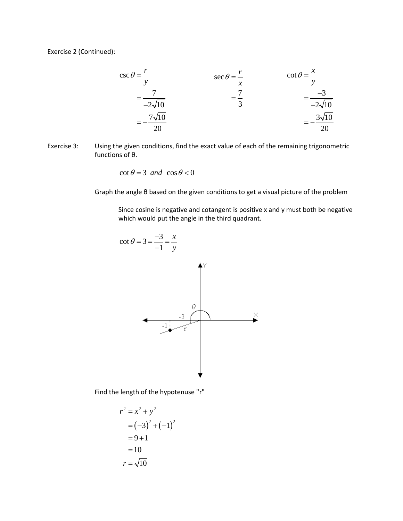Exercise 2 (Continued):

$$
\csc \theta = \frac{r}{y}
$$
\n
$$
= \frac{7}{-2\sqrt{10}}
$$
\n
$$
= -\frac{7\sqrt{10}}{20}
$$
\n
$$
= \frac{7\sqrt{10}}{20}
$$
\n
$$
= \frac{3\sqrt{10}}{20}
$$

Exercise 3: Using the given conditions, find the exact value of each of the remaining trigonometric functions of θ.

 $\cot \theta = 3$  *and*  $\cos \theta < 0$ 

Graph the angle θ based on the given conditions to get a visual picture of the problem

Since cosine is negative and cotangent is positive x and y must both be negative which would put the angle in the third quadrant.



Find the length of the hypotenuse "r"

$$
r2 = x2 + y2
$$
  
= (-3)<sup>2</sup> + (-1)<sup>2</sup>  
= 9 + 1  
= 10  

$$
r = \sqrt{10}
$$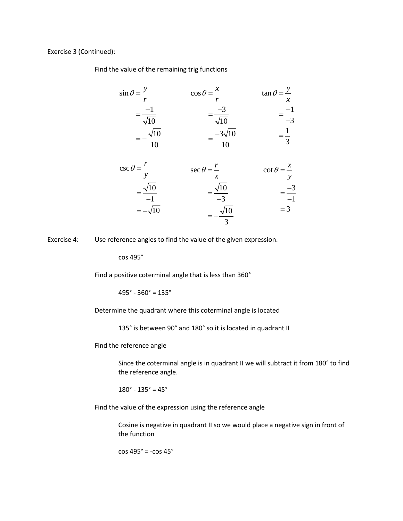Exercise 3 (Continued):

Find the value of the remaining trig functions

$$
\sin \theta = \frac{y}{r} \qquad \qquad \cos \theta = \frac{x}{r} \qquad \qquad \tan \theta = \frac{y}{x}
$$

$$
= \frac{-1}{\sqrt{10}} \qquad \qquad = \frac{-3}{\sqrt{10}} \qquad \qquad = \frac{-1}{-3}
$$

$$
= -\frac{\sqrt{10}}{10} \qquad \qquad = \frac{-3\sqrt{10}}{10} \qquad \qquad = \frac{1}{3}
$$

$$
\csc \theta = \frac{r}{y} \qquad \sec \theta = \frac{r}{x} \qquad \cot \theta = \frac{x}{y}
$$

$$
= \frac{\sqrt{10}}{-1} \qquad \qquad = \frac{\sqrt{10}}{-3} \qquad \qquad = \frac{-3}{-1}
$$

$$
= -\sqrt{10} \qquad \qquad = -\frac{\sqrt{10}}{3} \qquad \qquad = 3
$$

Exercise 4: Use reference angles to find the value of the given expression.

cos 495°

Find a positive coterminal angle that is less than 360°

 $495° - 360° = 135°$ 

Determine the quadrant where this coterminal angle is located

135° is between 90° and 180° so it is located in quadrant II

Find the reference angle

Since the coterminal angle is in quadrant II we will subtract it from 180° to find the reference angle.

 $180^{\circ}$  -  $135^{\circ}$  =  $45^{\circ}$ 

Find the value of the expression using the reference angle

Cosine is negative in quadrant II so we would place a negative sign in front of the function

cos 495° = -cos 45°